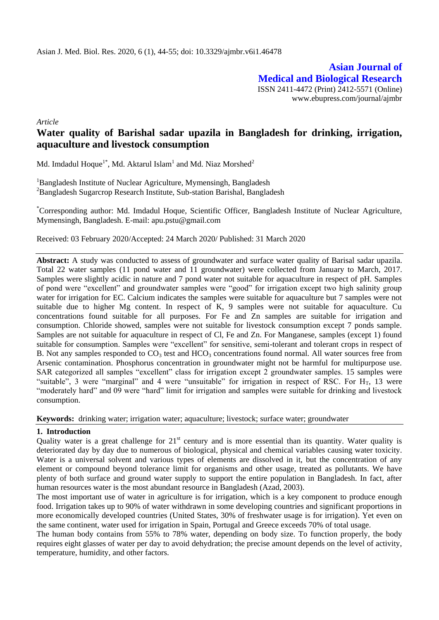**Asian Journal of Medical and Biological Research** ISSN 2411-4472 (Print) 2412-5571 (Online) www.ebupress.com/journal/ajmbr

*Article*

# **Water quality of Barishal sadar upazila in Bangladesh for drinking, irrigation, aquaculture and livestock consumption**

Md. Imdadul Hoque<sup>1\*</sup>, Md. Aktarul Islam<sup>1</sup> and Md. Niaz Morshed<sup>2</sup>

<sup>1</sup>Bangladesh Institute of Nuclear Agriculture, Mymensingh, Bangladesh <sup>2</sup>Bangladesh Sugarcrop Research Institute, Sub-station Barishal, Bangladesh

\*Corresponding author: Md. Imdadul Hoque, Scientific Officer, Bangladesh Institute of Nuclear Agriculture, Mymensingh, Bangladesh. E-mail: [apu.pstu@gmail.com](mailto:apu.pstu@gmail.com)

Received: 03 February 2020/Accepted: 24 March 2020/ Published: 31 March 2020

**Abstract:** A study was conducted to assess of groundwater and surface water quality of Barisal sadar upazila. Total 22 water samples (11 pond water and 11 groundwater) were collected from January to March, 2017. Samples were slightly acidic in nature and 7 pond water not suitable for aquaculture in respect of pH. Samples of pond were "excellent" and groundwater samples were "good" for irrigation except two high salinity group water for irrigation for EC. Calcium indicates the samples were suitable for aquaculture but 7 samples were not suitable due to higher Mg content. In respect of K, 9 samples were not suitable for aquaculture. Cu concentrations found suitable for all purposes. For Fe and Zn samples are suitable for irrigation and consumption. Chloride showed, samples were not suitable for livestock consumption except 7 ponds sample. Samples are not suitable for aquaculture in respect of Cl, Fe and Zn. For Manganese, samples (except 1) found suitable for consumption. Samples were "excellent" for sensitive, semi-tolerant and tolerant crops in respect of B. Not any samples responded to  $CO_3$  test and  $HCO_3$  concentrations found normal. All water sources free from Arsenic contamination. Phosphorus concentration in groundwater might not be harmful for multipurpose use. SAR categorized all samples "excellent" class for irrigation except 2 groundwater samples. 15 samples were "suitable", 3 were "marginal" and 4 were "unsuitable" for irrigation in respect of RSC. For  $H_T$ , 13 were "moderately hard" and 09 were "hard" limit for irrigation and samples were suitable for drinking and livestock consumption.

**Keywords:** drinking water; irrigation water; aquaculture; livestock; surface water; groundwater

### **1. Introduction**

Quality water is a great challenge for 21<sup>st</sup> century and is more essential than its quantity. Water quality is deteriorated day by day due to numerous of biological, physical and chemical variables causing water toxicity. Water is a universal solvent and various types of elements are dissolved in it, but the concentration of any element or compound beyond tolerance limit for organisms and other usage, treated as pollutants. We have plenty of both surface and ground water supply to support the entire population in Bangladesh. In fact, after human resources water is the most abundant resource in Bangladesh (Azad, 2003).

The most important use of water in agriculture is for irrigation, which is a key component to produce enough food. Irrigation takes up to 90% of water withdrawn in some developing countries and significant proportions in more economically developed countries (United States, 30% of freshwater usage is for irrigation). Yet even on the same continent, water used for irrigation in Spain, Portugal and Greece exceeds 70% of total usage.

The human [body](http://en.wikipedia.org/wiki/Body) contains from 55% to 78% water, depending on body size. To function properly, the body requires eight glasses of water per day to avoid [dehydration;](http://en.wikipedia.org/wiki/Dehydration) the precise amount depends on the level of activity, temperature, humidity, and other factors.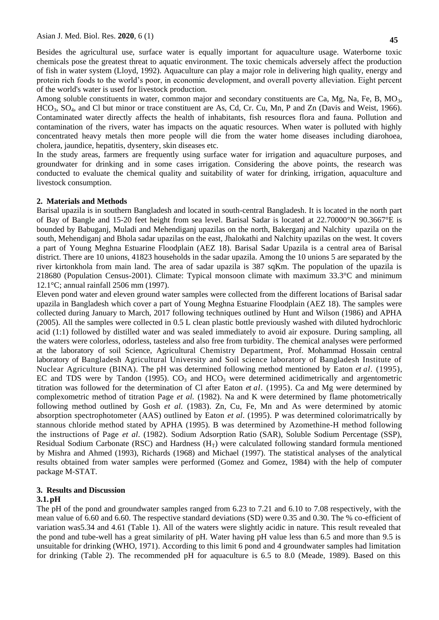Besides the agricultural use, surface water is equally important for aquaculture usage. Waterborne toxic chemicals pose the greatest threat to aquatic environment. The toxic chemicals adversely affect the production of fish in water system (Lloyd, 1992). Aquaculture can play a major role in delivering high quality, energy and protein rich foods to the world"s poor, in economic development, and overall poverty alleviation. Eight percent of the world's water is used for livestock production.

Among soluble constituents in water, common major and secondary constituents are Ca, Mg, Na, Fe, B, MO<sub>3</sub>, HCO<sub>3</sub>, SO<sub>4</sub>, and Cl but minor or trace constituent are As, Cd, Cr. Cu, Mn, P and Zn (Davis and Weist, 1966). Contaminated water directly affects the health of inhabitants, fish resources flora and fauna. Pollution and contamination of the rivers, water has impacts on the aquatic resources. When water is polluted with highly concentrated heavy metals then more people will die from the water home diseases including diarohoea, cholera, jaundice, hepatitis, dysentery, skin diseases etc.

In the study areas, farmers are frequently using surface water for irrigation and aquaculture purposes, and groundwater for drinking and in some cases irrigation. Considering the above points, the research was conducted to evaluate the chemical quality and suitability of water for drinking, irrigation, aquaculture and livestock consumption.

### **2. Materials and Methods**

Barisal upazila is in southern Bangladesh and located in south-central Bangladesh. It is located in the north part of Bay of Bangle and 15-20 feet height from sea level. Barisal Sadar is located at 22.70000°N 90.3667°E is bounded by Babuganj, Muladi and Mehendiganj upazilas on the north, Bakerganj and Nalchity upazila on the south, Mehendiganj and Bhola sadar upazilas on the east, Jhalokathi and Nalchity upazilas on the west. It covers a part of Young Meghna Estuarine Floodplain (AEZ 18). Barisal Sadar Upazila is a central area of Barisal district. There are 10 unions, 41823 households in the sadar upazila. Among the 10 unions 5 are separated by the river kirtonkhola from main land. The area of sadar upazila is 387 sqKm. The population of the upazila is 218680 (Population Census-2001). Climate: Typical monsoon climate with maximum 33.3°C and minimum 12.1°C; annual rainfall 2506 mm (1997).

Eleven pond water and eleven ground water samples were collected from the different locations of Barisal sadar upazila in Bangladesh which cover a part of Young Meghna Estuarine Floodplain (AEZ 18). The samples were collected during January to March, 2017 following techniques outlined by Hunt and Wilson (1986) and APHA (2005). All the samples were collected in 0.5 L clean plastic bottle previously washed with diluted hydrochloric acid (1:1) followed by distilled water and was sealed immediately to avoid air exposure. During sampling, all the waters were colorless, odorless, tasteless and also free from turbidity. The chemical analyses were performed at the laboratory of soil Science, Agricultural Chemistry Department, Prof. Mohammad Hossain central laboratory of Bangladesh Agricultural University and Soil science laboratory of Bangladesh Institute of Nuclear Agriculture (BINA). The pH was determined following method mentioned by Eaton *et al*. (1995), EC and TDS were by Tandon (1995).  $CO<sub>3</sub>$  and  $HCO<sub>3</sub>$  were determined acidimetrically and argentometric titration was followed for the determination of Cl after Eaton *et al*. (1995). Ca and Mg were determined by complexometric method of titration Page *et al.* (1982). Na and K were determined by flame photometrically following method outlined by Gosh *et al.* (1983). Zn, Cu, Fe, Mn and As were determined by atomic absorption spectrophotometer (AAS) outlined by Eaton *et al*. (1995). P was determined colorimatrically by stannous chloride method stated by APHA (1995). B was determined by Azomethine-H method following the instructions of Page *et al*. (1982). Sodium Adsorption Ratio (SAR), Soluble Sodium Percentage (SSP), Residual Sodium Carbonate (RSC) and Hardness  $(H_T)$  were calculated following standard formula mentioned by Mishra and Ahmed (1993), Richards (1968) and Michael (1997). The statistical analyses of the analytical results obtained from water samples were performed (Gomez and Gomez, 1984) with the help of computer package M-STAT.

### **3. Results and Discussion**

#### **3.1.pH**

The pH of the pond and groundwater samples ranged from 6.23 to 7.21 and 6.10 to 7.08 respectively, with the mean value of 6.60 and 6.60. The respective standard deviations (SD) were 0.35 and 0.30. The % co-efficient of variation was5.34 and 4.61 (Table 1). All of the waters were slightly acidic in nature. This result revealed that the pond and tube-well has a great similarity of pH. Water having pH value less than 6.5 and more than 9.5 is unsuitable for drinking (WHO, 1971). According to this limit 6 pond and 4 groundwater samples had limitation for drinking (Table 2). The recommended pH for aquaculture is 6.5 to 8.0 (Meade, 1989). Based on this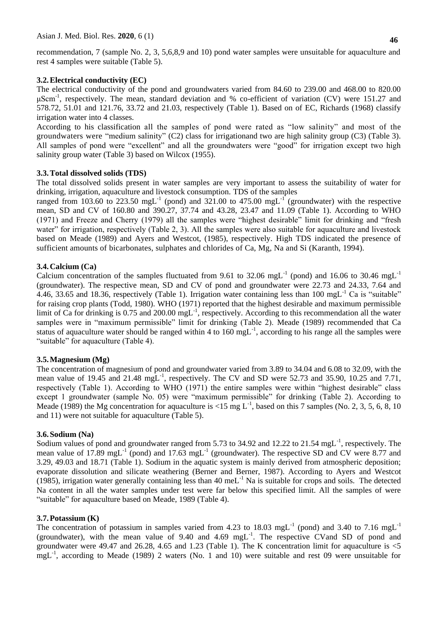recommendation, 7 (sample No. 2, 3, 5,6,8,9 and 10) pond water samples were unsuitable for aquaculture and rest 4 samples were suitable (Table 5).

### **3.2.Electrical conductivity (EC)**

The electrical conductivity of the pond and groundwaters varied from 84.60 to 239.00 and 468.00 to 820.00 μScm-1 , respectively. The mean, standard deviation and % co-efficient of variation (CV) were 151.27 and 578.72, 51.01 and 121.76, 33.72 and 21.03, respectively (Table 1). Based on of EC, Richards (1968) classify irrigation water into 4 classes.

According to his classification all the samples of pond were rated as "low salinity" and most of the groundwaters were "medium salinity" (C2) class for irrigationand two are high salinity group (C3) (Table 3). All samples of pond were "excellent" and all the groundwaters were "good" for irrigation except two high salinity group water (Table 3) based on Wilcox (1955).

### **3.3.Total dissolved solids (TDS)**

The total dissolved solids present in water samples are very important to assess the suitability of water for drinking, irrigation, aquaculture and livestock consumption. TDS of the samples

ranged from 103.60 to 223.50 mgL<sup>-1</sup> (pond) and 321.00 to 475.00 mgL<sup>-1</sup> (groundwater) with the respective mean, SD and CV of 160.80 and 390.27, 37.74 and 43.28, 23.47 and 11.09 (Table 1). According to WHO (1971) and Freeze and Cherry (1979) all the samples were "highest desirable" limit for drinking and "fresh water" for irrigation, respectively (Table 2, 3). All the samples were also suitable for aquaculture and livestock based on Meade (1989) and Ayers and Westcot, (1985), respectively. High TDS indicated the presence of sufficient amounts of bicarbonates, sulphates and chlorides of Ca, Mg, Na and Si (Karanth, 1994).

### **3.4.Calcium (Ca)**

Calcium concentration of the samples fluctuated from 9.61 to 32.06 mgL<sup>-1</sup> (pond) and 16.06 to 30.46 mgL<sup>-1</sup> (groundwater). The respective mean, SD and CV of pond and groundwater were 22.73 and 24.33, 7.64 and 4.46, 33.65 and 18.36, respectively (Table 1). Irrigation water containing less than  $100 \text{ mgL}^{-1}$  Ca is "suitable" for raising crop plants (Todd, 1980). WHO (1971) reported that the highest desirable and maximum permissible limit of Ca for drinking is 0.75 and 200.00 mgL<sup>-1</sup>, respectively. According to this recommendation all the water samples were in "maximum permissible" limit for drinking (Table 2). Meade (1989) recommended that Ca status of aquaculture water should be ranged within 4 to  $160 \text{ mgL}^{-1}$ , according to his range all the samples were "suitable" for aquaculture (Table 4).

#### **3.5.Magnesium (Mg)**

The concentration of magnesium of pond and groundwater varied from 3.89 to 34.04 and 6.08 to 32.09, with the mean value of 19.45 and 21.48 mg $\rm L^{-1}$ , respectively. The CV and SD were 52.73 and 35.90, 10.25 and 7.71, respectively (Table 1). According to WHO (1971) the entire samples were within "highest desirable" class except 1 groundwater (sample No. 05) were "maximum permissible" for drinking (Table 2). According to Meade (1989) the Mg concentration for aquaculture is <15 mg  $L^{-1}$ , based on this 7 samples (No. 2, 3, 5, 6, 8, 10) and 11) were not suitable for aquaculture (Table 5).

#### **3.6.Sodium (Na)**

Sodium values of pond and groundwater ranged from 5.73 to 34.92 and 12.22 to 21.54 mgL<sup>-1</sup>, respectively. The mean value of 17.89 mgL<sup>-1</sup> (pond) and 17.63 mgL<sup>-1</sup> (groundwater). The respective SD and CV were 8.77 and 3.29, 49.03 and 18.71 (Table 1). Sodium in the aquatic system is mainly derived from atmospheric deposition; evaporate dissolution and silicate weathering (Berner and Berner, 1987). According to Ayers and Westcot (1985), irrigation water generally containing less than 40 meL $^{-1}$  Na is suitable for crops and soils. The detected Na content in all the water samples under test were far below this specified limit. All the samples of were "suitable" for aquaculture based on Meade, 1989 (Table 4).

#### **3.7.Potassium (K)**

The concentration of potassium in samples varied from 4.23 to 18.03 mgL<sup>-1</sup> (pond) and 3.40 to 7.16 mgL<sup>-1</sup> (groundwater), with the mean value of  $9.40$  and  $4.69$  mgL<sup>-1</sup>. The respective CVand SD of pond and groundwater were 49.47 and 26.28, 4.65 and 1.23 (Table 1). The K concentration limit for aquaculture is <5 mgL<sup>-1</sup>, according to Meade (1989) 2 waters (No. 1 and 10) were suitable and rest 09 were unsuitable for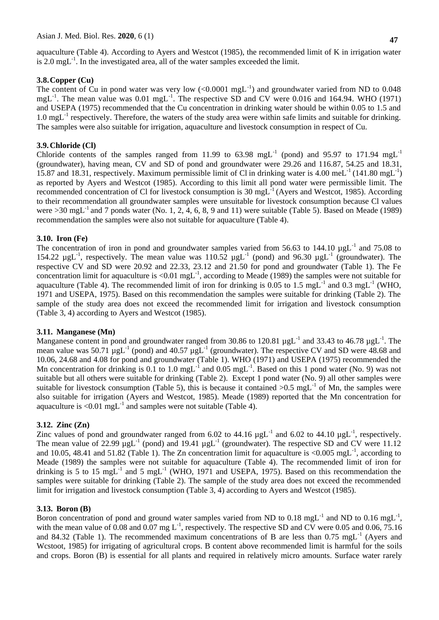**47**

aquaculture (Table 4). According to Ayers and Westcot (1985), the recommended limit of K in irrigation water is  $2.0 \text{ mgL}^{-1}$ . In the investigated area, all of the water samples exceeded the limit.

## **3.8.Copper (Cu)**

The content of Cu in pond water was very low  $(<0.0001$  mgL<sup>-1</sup>) and groundwater varied from ND to 0.048 mgL<sup>-1</sup>. The mean value was  $0.01 \text{ mgL}^{-1}$ . The respective SD and CV were 0.016 and 164.94. WHO (1971) and USEPA (1975) recommended that the Cu concentration in drinking water should be within 0.05 to 1.5 and  $1.0 \text{ mgL}^{-1}$  respectively. Therefore, the waters of the study area were within safe limits and suitable for drinking. The samples were also suitable for irrigation, aquaculture and livestock consumption in respect of Cu.

## **3.9.Chloride (Cl)**

Chloride contents of the samples ranged from 11.99 to 63.98 mgL<sup>-1</sup> (pond) and 95.97 to 171.94 mgL<sup>-1</sup> (groundwater), having mean, CV and SD of pond and groundwater were 29.26 and 116.87, 54.25 and 18.31, 15.87 and 18.31, respectively. Maximum permissible limit of Cl in drinking water is 4.00 meL<sup>-1</sup> (141.80 mgL<sup>-1</sup>) as reported by Ayers and Westcot (1985). According to this limit all pond water were permissible limit. The recommended concentration of Cl for livestock consumption is 30 mgL $^{-1}$  (Ayers and Westcot, 1985). According to their recommendation all groundwater samples were unsuitable for livestock consumption because Cl values were  $>30 \text{ mgL}^{-1}$  and 7 ponds water (No. 1, 2, 4, 6, 8, 9 and 11) were suitable (Table 5). Based on Meade (1989) recommendation the samples were also not suitable for aquaculture (Table 4).

## **3.10. Iron (Fe)**

The concentration of iron in pond and groundwater samples varied from 56.63 to 144.10  $\mu g L^{-1}$  and 75.08 to 154.22  $\mu g L^{-1}$ , respectively. The mean value was 110.52  $\mu g L^{-1}$  (pond) and 96.30  $\mu g L^{-1}$  (groundwater). The respective CV and SD were 20.92 and 22.33, 23.12 and 21.50 for pond and groundwater (Table 1). The Fe concentration limit for aquaculture is <0.01 mgL $^{-1}$ , according to Meade (1989) the samples were not suitable for aquaculture (Table 4). The recommended limit of iron for drinking is 0.05 to 1.5 mgL<sup>-1</sup> and 0.3 mgL<sup>-1</sup> (WHO, 1971 and USEPA, 1975). Based on this recommendation the samples were suitable for drinking (Table 2). The sample of the study area does not exceed the recommended limit for irrigation and livestock consumption (Table 3, 4) according to Ayers and Westcot (1985).

## **3.11. Manganese (Mn)**

Manganese content in pond and groundwater ranged from 30.86 to 120.81  $\mu gL^{-1}$  and 33.43 to 46.78  $\mu gL^{-1}$ . The mean value was 50.71  $\mu g L^{-1}$  (pond) and 40.57  $\mu g L^{-1}$  (groundwater). The respective CV and SD were 48.68 and 10.06, 24.68 and 4.08 for pond and groundwater (Table 1). WHO (1971) and USEPA (1975) recommended the Mn concentration for drinking is 0.1 to 1.0 mgL<sup>-1</sup> and 0.05 mgL<sup>-1</sup>. Based on this 1 pond water (No. 9) was not suitable but all others were suitable for drinking (Table 2). Except 1 pond water (No. 9) all other samples were suitable for livestock consumption (Table 5), this is because it contained  $>0.5$  mgL<sup>-1</sup> of Mn, the samples were also suitable for irrigation (Ayers and Westcot, 1985). Meade (1989) reported that the Mn concentration for aquaculture is <0.01 mgL<sup>-1</sup> and samples were not suitable (Table 4).

## **3.12. Zinc (Zn)**

Zinc values of pond and groundwater ranged from 6.02 to 44.16  $\mu g L^{-1}$  and 6.02 to 44.10  $\mu g L^{-1}$ , respectively. The mean value of 22.99  $\mu g L^{-1}$  (pond) and 19.41  $\mu g L^{-1}$  (groundwater). The respective SD and CV were 11.12 and 10.05, 48.41 and 51.82 (Table 1). The Zn concentration limit for aquaculture is <0.005 mgL<sup>-1</sup>, according to Meade (1989) the samples were not suitable for aquaculture (Table 4). The recommended limit of iron for drinking is 5 to 15 mg $\rm L^{-1}$  and 5 mg $\rm L^{-1}$  (WHO, 1971 and USEPA, 1975). Based on this recommendation the samples were suitable for drinking (Table 2). The sample of the study area does not exceed the recommended limit for irrigation and livestock consumption (Table 3, 4) according to Ayers and Westcot (1985).

## **3.13. Boron (B)**

Boron concentration of pond and ground water samples varied from ND to 0.18 mgL<sup>-1</sup> and ND to 0.16 mgL<sup>-1</sup>, with the mean value of 0.08 and 0.07 mg  $L^{-1}$ , respectively. The respective SD and CV were 0.05 and 0.06, 75.16 and 84.32 (Table 1). The recommended maximum concentrations of B are less than  $0.75 \text{ mgL}^{-1}$  (Ayers and Wcstoot, 1985) for irrigating of agricultural crops. B content above recommended limit is harmful for the soils and crops. Boron (B) is essential for all plants and required in relatively micro amounts. Surface water rarely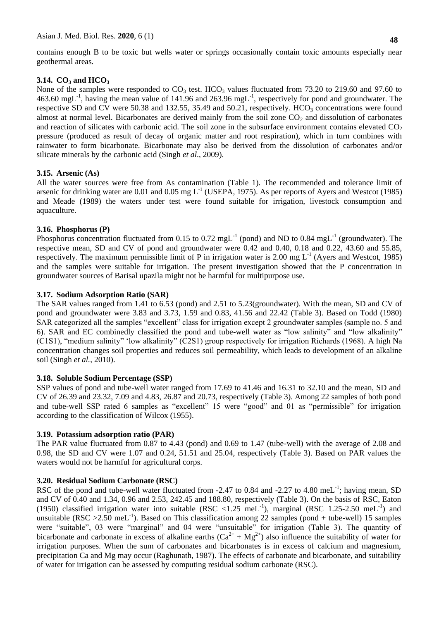contains enough B to be toxic but wells water or springs occasionally contain toxic amounts especially near geothermal areas.

## **3.14. CO<sup>3</sup> and HCO<sup>3</sup>**

None of the samples were responded to  $CO<sub>3</sub>$  test. HCO<sub>3</sub> values fluctuated from 73.20 to 219.60 and 97.60 to 463.60 mgL<sup>-1</sup>, having the mean value of 141.96 and 263.96 mgL<sup>-1</sup>, respectively for pond and groundwater. The respective SD and CV were 50.38 and 132.55, 35.49 and 50.21, respectively.  $HCO<sub>3</sub>$  concentrations were found almost at normal level. Bicarbonates are derived mainly from the soil zone  $CO<sub>2</sub>$  and dissolution of carbonates and reaction of silicates with carbonic acid. The soil zone in the subsurface environment contains elevated  $CO<sub>2</sub>$ pressure (produced as result of decay of organic matter and root respiration), which in turn combines with rainwater to form bicarbonate. Bicarbonate may also be derived from the dissolution of carbonates and/or silicate minerals by the carbonic acid (Singh *et al*., 2009).

## **3.15. Arsenic (As)**

All the water sources were free from As contamination (Table 1). The recommended and tolerance limit of arsenic for drinking water are 0.01 and 0.05 mg  $L^{-1}$  (USEPA, 1975). As per reports of Ayers and Westcot (1985) and Meade (1989) the waters under test were found suitable for irrigation, livestock consumption and aquaculture.

## **3.16. Phosphorus (P)**

Phosphorus concentration fluctuated from 0.15 to 0.72 mgL<sup>-1</sup> (pond) and ND to 0.84 mgL<sup>-1</sup> (groundwater). The respective mean, SD and CV of pond and groundwater were 0.42 and 0.40, 0.18 and 0.22, 43.60 and 55.85, respectively. The maximum permissible limit of P in irrigation water is 2.00 mg  $L^{-1}$  (Ayers and Westcot, 1985) and the samples were suitable for irrigation. The present investigation showed that the P concentration in groundwater sources of Barisal upazila might not be harmful for multipurpose use.

## **3.17. Sodium Adsorption Ratio (SAR)**

The SAR values ranged from 1.41 to 6.53 (pond) and 2.51 to 5.23(groundwater). With the mean, SD and CV of pond and groundwater were 3.83 and 3.73, 1.59 and 0.83, 41.56 and 22.42 (Table 3). Based on Todd (1980) SAR categorized all the samples "excellent" class for irrigation except 2 groundwater samples (sample no. 5 and 6). SAR and EC combinedly classified the pond and tube-well water as "low salinity" and "low alkalinity" (C1S1), "medium salinity" "low alkalinity" (C2S1) group respectively for irrigation Richards (1968). A high Na concentration changes soil properties and reduces soil permeability, which leads to development of an alkaline soil (Singh *et al.*, 2010).

### **3.18. Soluble Sodium Percentage (SSP)**

SSP values of pond and tube-well water ranged from 17.69 to 41.46 and 16.31 to 32.10 and the mean, SD and CV of 26.39 and 23.32, 7.09 and 4.83, 26.87 and 20.73, respectively (Table 3). Among 22 samples of both pond and tube-well SSP rated 6 samples as "excellent" 15 were "good" and 01 as "permissible" for irrigation according to the classification of Wilcox (1955).

### **3.19. Potassium adsorption ratio (PAR)**

The PAR value fluctuated from 0.87 to 4.43 (pond) and 0.69 to 1.47 (tube-well) with the average of 2.08 and 0.98, the SD and CV were 1.07 and 0.24, 51.51 and 25.04, respectively (Table 3). Based on PAR values the waters would not be harmful for agricultural corps.

## **3.20. Residual Sodium Carbonate (RSC)**

RSC of the pond and tube-well water fluctuated from -2.47 to 0.84 and -2.27 to 4.80 meL<sup>-1</sup>; having mean, SD and CV of 0.40 and 1.34, 0.96 and 2.53, 242.45 and 188.80, respectively (Table 3). On the basis of RSC, Eaton (1950) classified irrigation water into suitable (RSC <1.25 meL<sup>-1</sup>), marginal (RSC 1.25-2.50 meL<sup>-1</sup>) and unsuitable (RSC > 2.50 meL<sup>-1</sup>). Based on This classification among 22 samples (pond + tube-well) 15 samples were "suitable", 03 were "marginal" and 04 were "unsuitable" for irrigation (Table 3). The quantity of bicarbonate and carbonate in excess of alkaline earths  $(Ca^{2+} + Mg^{2+})$  also influence the suitability of water for irrigation purposes. When the sum of carbonates and bicarbonates is in excess of calcium and magnesium, precipitation Ca and Mg may occur (Raghunath, 1987). The effects of carbonate and bicarbonate, and suitability of water for irrigation can be assessed by computing residual sodium carbonate (RSC).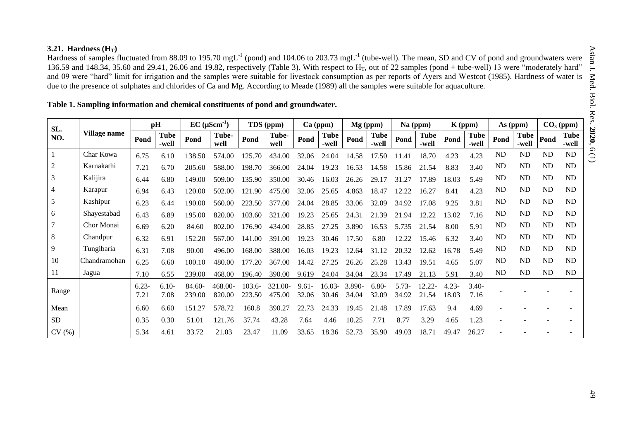### **3.21. Hardness (HT)**

Hardness of samples fluctuated from 88.09 to 195.70 mgL<sup>-1</sup> (pond) and 104.06 to 203.73 mgL<sup>-1</sup> (tube-well). The mean, SD and CV of pond and groundwaters were 136.59 and 148.34, 35.60 and 29.41, 26.06 and 19.82, respectively (Table 3). With respect to  $H_T$ , out of 22 samples (pond + tube-well) 13 were "moderately hard" and 09 were "hard" limit for irrigation and the samples were suitable for livestock consumption as per reports of Ayers and Westcot (1985). Hardness of water is due to the presence of sulphates and chlorides of Ca and Mg. According to Meade (1989) all the samples were suitable for aquaculture.

| SL.            |              |                  | pH                   |                  | $EC$ ( $\mu$ Scm <sup>-1</sup> ) |                  | TDS (ppm)         |                   | $Ca$ (ppm)           |                 | $Mg$ (ppm)           |                  | $Na$ (ppm)      |                   | $K$ (ppm)            |           | As (ppm)             |           | $CO3$ (ppm)          |
|----------------|--------------|------------------|----------------------|------------------|----------------------------------|------------------|-------------------|-------------------|----------------------|-----------------|----------------------|------------------|-----------------|-------------------|----------------------|-----------|----------------------|-----------|----------------------|
| NO.            | Village name | Pond             | <b>Tube</b><br>-well | Pond             | Tube-<br>well                    | Pond             | Tube-<br>well     | Pond              | <b>Tube</b><br>-well | Pond            | <b>Tube</b><br>-well | Pond             | Tube<br>-well   | Pond              | <b>Tube</b><br>-well | Pond      | <b>Tube</b><br>-well | Pond      | <b>Tube</b><br>-well |
|                | Char Kowa    | 6.75             | 6.10                 | 138.50           | 574.00                           | 125.70           | 434.00            | 32.06             | 24.04                | 14.58           | 17.50                | .41              | 18.70           | 4.23              | 4.23                 | ND        | <b>ND</b>            | ND        | ND                   |
| $\overline{2}$ | Karnakathi   | 7.21             | 6.70                 | 205.60           | 588.00                           | 198.70           | 366.00            | 24.04             | 19.23                | 16.53           | 14.58                | 15.86            | 21.54           | 8.83              | 3.40                 | <b>ND</b> | <b>ND</b>            | ND        | $\rm ND$             |
| 3              | Kalijira     | 6.44             | 6.80                 | 149.00           | 509.00                           | 135.90           | 350.00            | 30.46             | 16.03                | 26.26           | 29.17                | .27<br>31        | 17.89           | 18.03             | 5.49                 | ND        | <b>ND</b>            | ND        | ND                   |
| $\overline{4}$ | Karapur      | 6.94             | 6.43                 | 120.00           | 502.00                           | 121.90           | 475.00            | 32.06             | 25.65                | 4.863           | 18.47                | 12.22            | 16.27           | 8.41              | 4.23                 | ND        | <b>ND</b>            | ND        | ND                   |
| 5              | Kashipur     | 6.23             | 6.44                 | 190.00           | 560.00                           | 223.50           | 377.00            | 24.04             | 28.85                | 33.06           | 32.09                | 34.92            | 17.08           | 9.25              | 3.81                 | <b>ND</b> | <b>ND</b>            | ND        | ND                   |
| 6              | Shayestabad  | 6.43             | 6.89                 | 195.00           | 820.00                           | 103.60           | 321<br>.00        | 19.23             | 25.65                | .31<br>24.      | 21.39                | 21<br>.94        | 12.22           | 13.02             | 7.16                 | ND        | <b>ND</b>            | ND        | ND                   |
|                | Chor Monai   | 6.69             | 6.20                 | 84.60            | 802.00                           | 176.90           | 434.00            | 28.85             | 27.25                | 3.890           | 16.53                | 5.735            | .54             | 8.00              | 5.91                 | ND        | <b>ND</b>            | ND        | ND                   |
| $\,8\,$        | Chandpur     | 6.32             | 6.91                 | 152.20           | 567.00                           | 141.00           | 391<br>.00        | 19.23             | 30.46                | 17.50           | 6.80                 | 12.22            | 15.46           | 6.32              | 3.40                 | ND        | <b>ND</b>            | ND        | ND                   |
| 9              | Tungibaria   | 6.31             | 7.08                 | 90.00            | 496.00                           | 168.00           | 388.00            | 16.03             | 19.23                | 12.64           | 31                   | 20.32            | 12.62           | 16.78             | 5.49                 | ND        | <b>ND</b>            | ND        | ND                   |
| 10             | Chandramohan | 6.25             | 6.60                 | 100.10           | 480.00                           | 177.20           | 367.00            | 14.42             | 27<br>.25            | 26.26           | 25.28                | 13.43            | 19.51           | 4.65              | 5.07                 | ND        | <b>ND</b>            | <b>ND</b> | ND                   |
| 11             | Jagua        | 7.10             | 6.55                 | 239.00           | 468.00                           | 196.40           | 390.00            | 9.619             | 24.04                | 34.04           | 23.34                | 17.49            | 21.13           | 5.91              | 3.40                 | <b>ND</b> | <b>ND</b>            | ND        | ND                   |
| Range          |              | $6.23 -$<br>7.21 | $6.10-$<br>7.08      | 84.60-<br>239.00 | 468.00-<br>820.00                | 103.6-<br>223.50 | 321.00-<br>475.00 | $9.61 -$<br>32.06 | $16.03-$<br>30.46    | 3.890-<br>34.04 | $6.80-$<br>32.09     | $5.73-$<br>34.92 | 12.22-<br>21.54 | $4.23 -$<br>18.03 | $3.40-$<br>7.16      |           |                      |           |                      |
| Mean           |              | 6.60             | 6.60                 | 151.27           | 578.72                           | 160.8            | 390.27            | .73               | 24.33                | 19.45           | 21.48                | 17.89            | 17.63           | 9.4               | 4.69                 |           |                      |           |                      |
| <b>SD</b>      |              | 0.35             | 0.30                 | 51.01            | 121.76                           | 37.74            | 43.28             | 7.64              | 4.46                 | 10.25           | 7.71                 | 8.77             | 3.29            | 4.65              | 1.23                 |           |                      |           |                      |
| CV(%)          |              | 5.34             | 4.61                 | 33.72            | 21.03                            | 23.47            | 11.09             | 33.65             | 18.36                | 52.73           | 35.90                | 49.03            | 18.71           | 49.47             | 26.27                |           |                      |           |                      |

### **Table 1. Sampling information and chemical constituents of pond and groundwater.**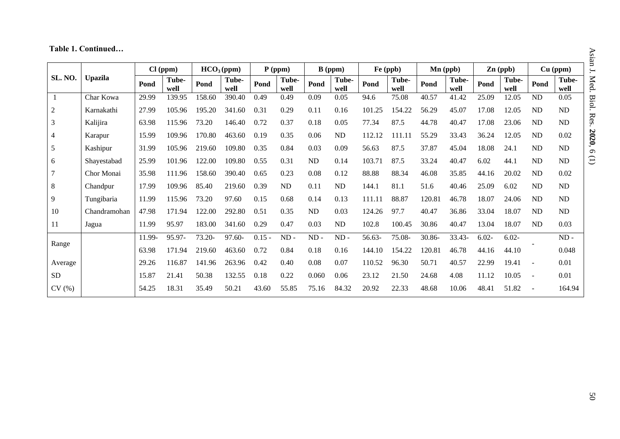# **Table 1. Continued…**

|                |                |        | $Cl$ (ppm)    |        | HCO <sub>3</sub> (ppm) |          | $P$ (ppm)     |               | $B$ (ppm)     |        | Fe (ppb)      |        | Mn (ppb)      |          | $\mathbf{Zn}$ (ppb) |                          | $Cu$ (ppm)    |
|----------------|----------------|--------|---------------|--------|------------------------|----------|---------------|---------------|---------------|--------|---------------|--------|---------------|----------|---------------------|--------------------------|---------------|
| <b>SL. NO.</b> | <b>Upazila</b> | Pond   | Tube-<br>well | Pond   | Tube-<br>well          | Pond     | Tube-<br>well | Pond          | Tube-<br>well | Pond   | Tube-<br>well | Pond   | Tube-<br>well | Pond     | Tube-<br>well       | Pond                     | Tube-<br>well |
|                | Char Kowa      | 29.99  | 139.95        | 158.60 | 390.40                 | 0.49     | 0.49          | 0.09          | 0.05          | 94.6   | 75.08         | 40.57  | 41.42         | 25.09    | 12.05               | ND                       | 0.05          |
| $\overline{2}$ | Karnakathi     | 27.99  | 105.96        | 195.20 | 341.60                 | 0.31     | 0.29          | 0.11          | 0.16          | 101.25 | 154.22        | 56.29  | 45.07         | 17.08    | 12.05               | ND                       | ND            |
| $\mathfrak{Z}$ | Kalijira       | 63.98  | 115.96        | 73.20  | 146.40                 | 0.72     | 0.37          | 0.18          | 0.05          | 77.34  | 87.5          | 44.78  | 40.47         | 17.08    | 23.06               | ND                       | ND            |
| $\overline{4}$ | Karapur        | 15.99  | 109.96        | 170.80 | 463.60                 | 0.19     | 0.35          | 0.06          | ND            | 112.12 | 111.11        | 55.29  | 33.43         | 36.24    | 12.05               | ND                       | 0.02          |
| $\sqrt{5}$     | Kashipur       | 31.99  | 105.96        | 219.60 | 109.80                 | 0.35     | 0.84          | 0.03          | 0.09          | 56.63  | 87.5          | 37.87  | 45.04         | 18.08    | 24.1                | ND                       | ND            |
| 6              | Shayestabad    | 25.99  | 101.96        | 122.00 | 109.80                 | 0.55     | 0.31          | ND            | 0.14          | 103.71 | 87.5          | 33.24  | 40.47         | 6.02     | 44.1                | <b>ND</b>                | ND            |
| $\overline{7}$ | Chor Monai     | 35.98  | 111.96        | 158.60 | 390.40                 | 0.65     | 0.23          | 0.08          | 0.12          | 88.88  | 88.34         | 46.08  | 35.85         | 44.16    | 20.02               | ND                       | 0.02          |
| $\,8\,$        | Chandpur       | 17.99  | 109.96        | 85.40  | 219.60                 | 0.39     | ND            | 0.11          | ND            | 144.1  | 81.1          | 51.6   | 40.46         | 25.09    | 6.02                | ND                       | ND            |
| 9              | Tungibaria     | 11.99  | 115.96        | 73.20  | 97.60                  | 0.15     | 0.68          | 0.14          | 0.13          | 111.11 | 88.87         | 120.81 | 46.78         | 18.07    | 24.06               | <b>ND</b>                | ND            |
| 10             | Chandramohan   | 47.98  | 171.94        | 122.00 | 292.80                 | 0.51     | 0.35          | ND            | 0.03          | 124.26 | 97.7          | 40.47  | 36.86         | 33.04    | 18.07               | ND                       | ND            |
| 11             | Jagua          | 11.99  | 95.97         | 183.00 | 341.60                 | 0.29     | 0.47          | 0.03          | ${\rm ND}$    | 102.8  | 100.45        | 30.86  | 40.47         | 13.04    | 18.07               | ND                       | 0.03          |
|                |                | 11.99- | 95.97-        | 73.20- | 97.60-                 | $0.15 -$ | $ND -$        | $\mbox{ND}$ - | $\rm ND$ -    | 56.63- | 75.08-        | 30.86- | 33.43-        | $6.02 -$ | $6.02 -$            |                          | $\mbox{ND}$ - |
| Range          |                | 63.98  | 171.94        | 219.60 | 463.60                 | 0.72     | 0.84          | 0.18          | 0.16          | 144.10 | 154.22        | 120.81 | 46.78         | 44.16    | 44.10               |                          | 0.048         |
| Average        |                | 29.26  | 116.87        | 141.96 | 263.96                 | 0.42     | 0.40          | 0.08          | 0.07          | 110.52 | 96.30         | 50.71  | 40.57         | 22.99    | 19.41               |                          | 0.01          |
| <b>SD</b>      |                | 15.87  | 21.41         | 50.38  | 132.55                 | 0.18     | 0.22          | 0.060         | 0.06          | 23.12  | 21.50         | 24.68  | 4.08          | 11.12    | 10.05               | $\overline{\phantom{a}}$ | 0.01          |
| CV(%)          |                | 54.25  | 18.31         | 35.49  | 50.21                  | 43.60    | 55.85         | 75.16         | 84.32         | 20.92  | 22.33         | 48.68  | 10.06         | 48.41    | 51.82               |                          | 164.94        |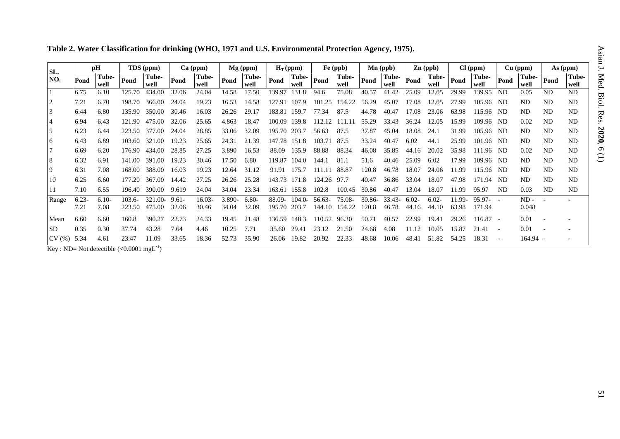| Table 2. Water Classification for drinking (WHO, 1971 and U.S. Environmental Protection Agency, 1975). |  |  |
|--------------------------------------------------------------------------------------------------------|--|--|
|--------------------------------------------------------------------------------------------------------|--|--|

| SL.            |                 | pH                                          |                     | TDS (ppm)         |                   | $Ca$ (ppm)      |                    | Mg (ppm)         |                  | $H_T$ (ppm)       |                  | Fe (ppb)         |                    | $Mn$ (ppb)        |                   | $\mathbf{Zn}$ (ppb) |                 | Cl (ppm)            |           | $Cu$ (ppm)      |           | As (ppm)      |
|----------------|-----------------|---------------------------------------------|---------------------|-------------------|-------------------|-----------------|--------------------|------------------|------------------|-------------------|------------------|------------------|--------------------|-------------------|-------------------|---------------------|-----------------|---------------------|-----------|-----------------|-----------|---------------|
| NO.            | Pond            | Tube-<br>well                               | Pond                | Tube-<br>well     | Pond              | Tube-<br>well   | Pond               | Tube-<br>well    | Pond             | Tube-<br>well     | Pond             | Tube-<br>well    | Pond               | Tube-<br>well     | Pond              | Tube-<br>well       | Pond            | Tube-<br>well       | Pond      | Tube-<br>well   | Pond      | Tube-<br>well |
|                | 6.75            | 6.10                                        | 125.70              | 434.00            | 32.06             | 24.04           | 14.58              | 17.50            | 139.97           | 131.8             | 94.6             | 75.08            | 40.57              | 41.42             | 25.09             | 12.05               | 29.99           | 139.95              | ND        | 0.05            | ND.       | <b>ND</b>     |
| 2              | 7.21            | 6.70                                        | 198.70              | 366.00            | 24.04             | 19.23           | 16.53              | 14.58            | 127.91           | 107.9             | 101.25           | 154.22           | 56.29              | 45.07             | 17.08             | 12.05               | 27.99           | 105.96              | ND        | N <sub>D</sub>  | ND.       | ND.           |
| 3              | 6.44            | 6.80                                        | 135.90              | 350.00            | 30.46             | 16.03           | 26.26              | 29.17            | 183.81           | 159.7             | 77.34            | 87.5             | 44.78              | 40.47             | 17.08             | 23.06               | 63.98           | 115.96              | -ND       | N <sub>D</sub>  | ND.       | ND.           |
| <sup>4</sup>   | 6.94            | 6.43                                        | 121.90              | 475.00            | 32.06             | 25.65           | 4.863              | 18.47            | 100.09           | 139.8             | 112.12           | 111.11           | 55.29              | 33.43             | 36.24             | 12.05               | 15.99           | 109.96              | ND        | 0.02            | ND        | ND            |
| <sup>5</sup>   | 6.23            | 6.44                                        | 223.50              | 377.00            | 24.04             | 28.85           | 33.06              | 32.09            | 195.70 203.7     |                   | 56.63            | 87.5             | 37.87              | 45.04             | 18.08             | 24.1                | 31.99           | 105.96              | ND        | ND              | ND        | ND.           |
| <b>6</b>       | 6.43            | 6.89                                        | 103.60              | 321.00            | 19.23             | 25.65           | 24.31              | 21.39            | 147.78           | 151.8             | 103.71           | 87.5             | 33.24              | 40.47             | 6.02              | 44.1                | 25.99           | 101<br>l.96         | ND        | <b>ND</b>       | ND        | ND.           |
|                | 6.69            | 6.20                                        | 176.90              | 434.00            | 28.85             | 27.25           | 3.890              | 16.53            | 88.09            | 135.9             | 88.88            | 88.34            | 46.08              | 35.85             | 44.16             | 20.02               | 35.98           | 111.96              | -ND       | 0.02            | ND.       | ND.           |
| 8              | 6.32            | 6.91                                        | 141.00              | 391.00            | 19.23             | 30.46           | 17.50              | 6.80             | 119.87           | 104.0             | 144.1            | 81.1             | 51.6               | 40.46             | 25.09             | 6.02                | 17.99           | 109.96              | ND        | <b>ND</b>       | ND        | ND            |
| $\overline{9}$ | 6.31            | 7.08                                        | 168.00              | 388.00            | 16.03             | 19.23           | 12.64              | 31.12            | 91.91            | 175.7             | 111.11           | 88.87            | 120.8              | 46.78             | 18.07             | 24.06               | 11.99           | 115.96              | -ND       | N <sub>D</sub>  | ND.       | ND.           |
| 10             | 6.25            | 6.60                                        | 177.20              | 367.00            | 14.42             | 27.25           | 26.26              | 25.28            | 143.73 171.8     |                   | 124.26           | 97.7             | 40.47              | 36.86             | 33.04             | 18.07               | 47.98           | 171<br>l.94         | ND.       | N <sub>D</sub>  | <b>ND</b> | ND            |
| 11             | 7.10            | 6.55                                        | 196.40              | 390.00            | 9.619             | 24.04           | 34.04              | 23.34            | 163.61           | 155.8             | 102.8            | 100.45           | 30.86              | 40.47             | 13.04             | 18.07               | 11.99           | 95.97               | <b>ND</b> | 0.03            | <b>ND</b> | ND            |
| Range          | $6.23-$<br>7.21 | $6.10-$<br>7.08                             | $103.6 -$<br>223.50 | 321.00-<br>475.00 | $9.61 -$<br>32.06 | 16.03-<br>30.46 | $3.890 -$<br>34.04 | $6.80-$<br>32.09 | 88.09-<br>195.70 | $104.0-$<br>203.7 | 56.63-<br>144.10 | 75.08-<br>154.22 | $30.86 -$<br>120.8 | $33.43-$<br>46.78 | $6.02 -$<br>44.16 | $6.02 -$<br>44.10   | 11.99-<br>63.98 | $95.97 -$<br>171.94 |           | $ND -$<br>0.048 |           |               |
| Mean           | 6.60            | 6.60                                        | 160.8               | 390.27            | 22.73             | 24.33           | 19.45              | 21.48            | 136.59           | 148.3             | 110.52           | 96.30            | 50.71              | 40.57             | 22.99             | 19.41               | 29.26           | $116.87 -$          |           | 0.01            |           |               |
| <b>SD</b>      | 0.35            | 0.30                                        | 37.74               | 43.28             | 7.64              | 4.46            | 10.25              | 7.71             | 35.60            | 29.41             | 23.12            | 21.50            | 24.68              | 4.08              | 11.12             | 10.05               | 15.87           | 21.41               |           | 0.01            |           |               |
| CV(%)          | 5.34            | 4.61<br>المتمسين المتعدد المسابقة المستنقدة | 23.47               | 11.09<br>$-1$     | 33.65             | 18.36           | 52.73              | 35.90            | 26.06            | 19.82             | 20.92            | 22.33            | 48.68              | 10.06             | 48.41             | 51.82               | 54.25           | 18.31               |           | 164.94 -        |           |               |

Key : ND= Not detectible  $(<0.0001$  mgL<sup>-1</sup>)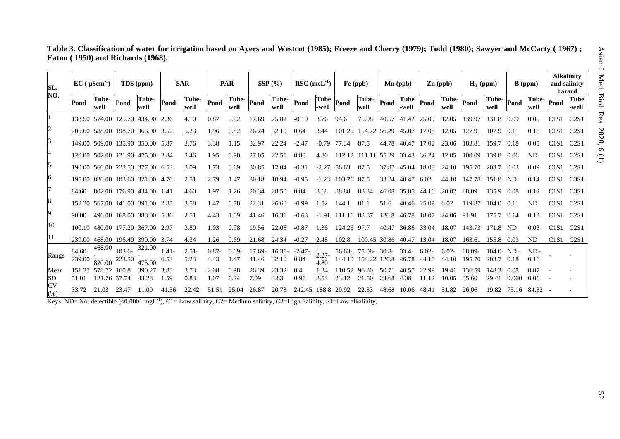|                                   |  | Table 3. Classification of water for irrigation based on Ayers and Westcot (1985); Freeze and Cherry (1979); Todd (1980); Sawyer and McCarty ( 1967) ; |
|-----------------------------------|--|--------------------------------------------------------------------------------------------------------------------------------------------------------|
| Eaton (1950) and Richards (1968). |  |                                                                                                                                                        |

| SL.<br>NO.        |                  | $EC$ ( $\mu$ Scm <sup>-1</sup> ) |           | TDS (ppm)                        |                  | <b>SAR</b>    |                  | <b>PAR</b>       |               | $SSP(\%)$          |                 | $\rm RSC$ (meL <sup>-1</sup> ) |           | $Fe$ (ppb)              |                | $\mathbf{Mn}$ (ppb)  |                   | $\mathbf{Zn}$ (ppb) | $H_T$ (ppm)      |                         |       | $B$ (ppm)      |                               | <b>Alkalinity</b><br>and salinity<br>hazard |
|-------------------|------------------|----------------------------------|-----------|----------------------------------|------------------|---------------|------------------|------------------|---------------|--------------------|-----------------|--------------------------------|-----------|-------------------------|----------------|----------------------|-------------------|---------------------|------------------|-------------------------|-------|----------------|-------------------------------|---------------------------------------------|
|                   | Pond             | Tube-<br>well                    | Pond      | Tube-<br>well                    | Pond             | Tube-<br>well | Pond             | Tube-<br>well    | Pond          | Tube-<br>well      | Pond            | <b>Tube</b><br>-well           | Pond      | Tube-<br>well           | Pond           | <b>Tube</b><br>-well | Pond              | Tube-<br>well       | Pond             | Tube-<br>well           | Pond  | Tube-<br>well  | Pond                          | <b>Tube</b><br>-well                        |
|                   |                  |                                  |           | 138.50 574.00 125.70 434.00 2.36 |                  | 4.10          | 0.87             | 0.92             | 17.69         | 25.82              | $-0.19$         | 3.76                           | 94.6      | 75.08                   | 40.57          | 41.42                | 25.09             | 12.05               | 139.97           | 131.8                   | 0.09  | 0.05           | C1S1                          | C2S1                                        |
|                   |                  |                                  |           | 205.60 588.00 198.70 366.00 3.52 |                  | 5.23          | 1.96             | 0.82             | 26.24         | 32.10              | 0.64            |                                | 101.25    | 154.22 56.29            |                | 45.07                | -17.08            | 12.05               | 127.91           | 107.9                   | 0.11  |                | C1S1                          | C2S1                                        |
|                   |                  |                                  |           | 149.00 509.00 135.90 350.00 5.87 |                  | 3.76          | 3.38             | 1.15             | 32.97         | 22.24              | $-2.47$         | $-0.79$                        | 77.34     | 87.5                    | 44.78          | 40.47                | 17.08             | 23.06               | 183.81           | 159.7                   | 0.18  | 0.05           | C1S1                          | C2S1                                        |
|                   |                  |                                  |           | 120.00 502.00 121.90 475.00 2.84 |                  | 3.46          | 1.95             | 0.90             | 27.05         | 22.51              | 0.80            | 4.80                           | 112.12    | 111.11                  |                | 55.29 33.43 36.24    |                   | 12.05               | 100.09           | 139.8                   | 0.06  | ND             | C1S1                          | C2S1                                        |
|                   |                  |                                  |           | 190.00 560.00 223.50 377.00 6.53 |                  | 3.09          | 1.73             | 0.69             | 30.85         | 17.04              | $-0.31$         | $-2.27$                        | 56.63     | 87.5                    | 37.87          | 45.04                | 18.08             | 24.10               | 195.70           | 203.7                   | 0.03  | 0.09           | C1S1                          | C2S1                                        |
|                   |                  |                                  |           | 195.00 820.00 103.60 321.00 4.70 |                  | 2.51          | 2.79             | 1.47             | 30.18         | 18.94              | $-0.95$         | $-1.23$                        | 103.71    | 87.5                    | 33.24          | 40.47                | 6.02              | 44.10               | 147.78           | 151.8                   | ND    | 0.14           | C1S1                          | C <sub>3</sub> S1                           |
|                   | 84.60            |                                  |           | 802.00 176.90 434.00 1.41        |                  | 4.60          | 1.97             | 1.26             | 20.34         | 28.50              | 0.84            | 3.68                           | 88.88     | 88.34                   | 46.08          | 35.85 44.16          |                   | 20.02               | 88.09            | 135.9                   | 0.08  | 0.12           | C1S1                          | C <sub>3</sub> S1                           |
| 8                 |                  |                                  |           | 152.20 567.00 141.00 391.00 2.85 |                  | 3.58          | 1.47             | 0.78             | 22.31         | 26.68              | $-0.99$         | 1.52                           | 144.1     | 81.1                    | 51.6           | 40.46 25.09          |                   | 6.02                | 119.87           | 104.0                   | 0.11  | ND             | C1S1                          | C2S1                                        |
| 9                 | 90.00            |                                  |           | 496.00 168.00 388.00 5.36        |                  | 2.51          | 4.43             | 1.09             | 41.46         | 16.31              | $-0.63$         | $-1.91$                        | 111.11    | 88.87                   |                | 120.8 46.78 18.07    |                   | 24.06               | 91.91            | 175.7                   | 0.14  | 0.13           | C <sub>1</sub> S <sub>1</sub> | C2S1                                        |
| 10                |                  |                                  |           | 100.10 480.00 177.20 367.00 2.97 |                  | 3.80          | 1.03             | 0.98             | 19.56         | 22.08              | $-0.87$         | 1.36                           | 124.26    | 97.7                    | 40.47          | 36.86 33.04          |                   | 18.07               | 143.73           | 171.8                   | - ND  | 0.03           | C1S1                          | C2S1                                        |
| 11                |                  |                                  |           | 239.00 468.00 196.40 390.00      | 3.74             | 4.34          | 1.26             | 0.69             | 21.68         | 24.34              | $-0.27$         | 2.48                           | 102.8     | 100.45 30.86 40.47      |                |                      | 13.04             | 18.07               | 163.61           | 155.8                   | 0.03  | <b>ND</b>      | C1S1                          | C2S1                                        |
| Range             | 84.60-<br>239.00 | 468.00<br>820.00 223.50          | $103.6 -$ | 321.00<br>475.00                 | $1.41 -$<br>6.53 | 2.51<br>5.23  | $0.87 -$<br>4.43 | $0.69 -$<br>1.47 | 17.69-<br>.46 | $16.31 -$<br>32.10 | $-2.47$<br>0.84 | $2.27 -$<br>4.80               | 144.10    | 56.63- 75.08-<br>154.22 | 30.8-<br>120.8 | 33.4-<br>46.78       | $6.02 -$<br>44.16 | $6.02 -$<br>44.10   | 88.09-<br>195.70 | $104.0 - ND -$<br>203.7 | 0.18  | $ND -$<br>0.16 |                               |                                             |
| Mean<br><b>SD</b> | 151.27<br>51.01  | 578.72<br>121.76 37.74           | 160.8     | 390.2<br>43.28                   | 3.83<br>1.59     | 3.73<br>0.83  | 2.08<br>1.07     | 0.98<br>0.24     | 26.39<br>7.09 | 23.32<br>4.83      | 0.4<br>0.96     | 1.34<br>2.53                   | 23.<br>12 | .50<br>21               | 24<br>.68      | 4.08                 |                   | 19 41<br>10.05      | 136.59<br>35.60  | 148.<br>29.41           | 0.060 | 0.06           |                               |                                             |
| <b>CV</b><br>(% ) | 33.72            | 21.03                            | 23.47     | 11.09                            | 41.56            | 22.42         | 51.51            | 25.04            | 26.87         | 20.73              | 242.45          |                                | 20.92     | 22.33                   | 48.68          | 10.06                | 48.41             | 51.82               | 26.06            | 19.82                   | 75.16 | 84.32          |                               |                                             |

Keys: ND= Not detectible  $(<0.0001 \text{ mgL}^{-1})$ , C1= Low salinity, C2= Medium salinity, C3=High Salinity, S1=Low alkalinity,

(1)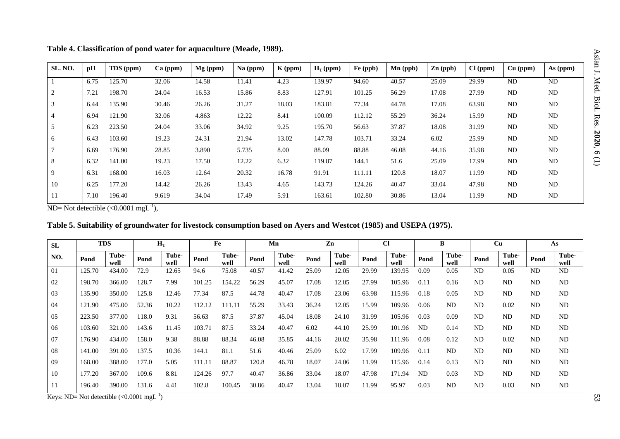| SL. NO.        | pH   | TDS (ppm) | Ca (ppm) | $Mg$ (ppm) | Na (ppm) | $K$ (ppm) | $H_T$ (ppm) | Fe (ppb) | Mn (ppb) | $Zn$ (ppb) | Cl (ppm) | $Cu$ (ppm) | As (ppm)  |
|----------------|------|-----------|----------|------------|----------|-----------|-------------|----------|----------|------------|----------|------------|-----------|
|                | 6.75 | 125.70    | 32.06    | 14.58      | 11.41    | 4.23      | 139.97      | 94.60    | 40.57    | 25.09      | 29.99    | <b>ND</b>  | <b>ND</b> |
| $\overline{2}$ | 7.21 | 198.70    | 24.04    | 16.53      | 15.86    | 8.83      | 127.91      | 101.25   | 56.29    | 17.08      | 27.99    | <b>ND</b>  | ND        |
| 3              | 6.44 | 135.90    | 30.46    | 26.26      | 31.27    | 18.03     | 183.81      | 77.34    | 44.78    | 17.08      | 63.98    | <b>ND</b>  | ND        |
| 4              | 6.94 | 121.90    | 32.06    | 4.863      | 12.22    | 8.41      | 100.09      | 112.12   | 55.29    | 36.24      | 15.99    | <b>ND</b>  | ND        |
| 5              | 6.23 | 223.50    | 24.04    | 33.06      | 34.92    | 9.25      | 195.70      | 56.63    | 37.87    | 18.08      | 31.99    | <b>ND</b>  | ND        |
| 6              | 6.43 | 103.60    | 19.23    | 24.31      | 21.94    | 13.02     | 147.78      | 103.71   | 33.24    | 6.02       | 25.99    | <b>ND</b>  | <b>ND</b> |
| $\tau$         | 6.69 | 176.90    | 28.85    | 3.890      | 5.735    | 8.00      | 88.09       | 88.88    | 46.08    | 44.16      | 35.98    | <b>ND</b>  | <b>ND</b> |
| 8              | 6.32 | 141.00    | 19.23    | 17.50      | 12.22    | 6.32      | 119.87      | 144.1    | 51.6     | 25.09      | 17.99    | <b>ND</b>  | <b>ND</b> |
| 9              | 6.31 | 168.00    | 16.03    | 12.64      | 20.32    | 16.78     | 91.91       | 111.11   | 120.8    | 18.07      | 11.99    | <b>ND</b>  | <b>ND</b> |
| 10             | 6.25 | 177.20    | 14.42    | 26.26      | 13.43    | 4.65      | 143.73      | 124.26   | 40.47    | 33.04      | 47.98    | <b>ND</b>  | <b>ND</b> |
| 11             | 7.10 | 196.40    | 9.619    | 34.04      | 17.49    | 5.91      | 163.61      | 102.80   | 30.86    | 13.04      | 11.99    | ND         | <b>ND</b> |

**Table 4. Classification of pond water for aquaculture (Meade, 1989).**

ND= Not detectible  $(<0.0001$  mgL<sup>-1</sup>),

| Table 5. Suitability of groundwater for livestock consumption based on Ayers and Westcot (1985) and USEPA (1975). |  |  |  |  |
|-------------------------------------------------------------------------------------------------------------------|--|--|--|--|
|                                                                                                                   |  |  |  |  |

| <b>SL</b>             |        | <b>TDS</b>    |                                   | $H_T$         |        | Fe            |       | Mn            |       | Zn            |       | Cl            |           | B             |                | Cu            |                | As             |
|-----------------------|--------|---------------|-----------------------------------|---------------|--------|---------------|-------|---------------|-------|---------------|-------|---------------|-----------|---------------|----------------|---------------|----------------|----------------|
| NO.                   | Pond   | Tube-<br>well | Pond                              | Tube-<br>well | Pond   | Tube-<br>well | Pond  | Tube-<br>well | Pond  | Tube-<br>well | Pond  | Tube-<br>well | Pond      | Tube-<br>well | Pond           | Tube-<br>well | Pond           | Tube-<br>well  |
| 01                    | 125.70 | 434.00        | 72.9                              | 12.65         | 94.6   | 75.08         | 40.57 | 41.42         | 25.09 | 12.05         | 29.99 | 139.95        | 0.09      | 0.05          | <b>ND</b>      | 0.05          | <b>ND</b>      | <b>ND</b>      |
| 02                    | 198.70 | 366.00        | 128.7                             | 7.99          | 101.25 | 154.22        | 56.29 | 45.07         | 17.08 | 12.05         | 27.99 | 105.96        | 0.11      | 0.16          | <b>ND</b>      | <b>ND</b>     | <b>ND</b>      | ND             |
| 03                    | 135.90 | 350.00        | 125.8                             | 12.46         | 77.34  | 87.5          | 44.78 | 40.47         | 17.08 | 23.06         | 63.98 | 115.96        | 0.18      | 0.05          | <b>ND</b>      | <b>ND</b>     | <b>ND</b>      | <b>ND</b>      |
| 04                    | 121.90 | 475.00        | 52.36                             | 10.22         | 112.12 | 111.11        | 55.29 | 33.43         | 36.24 | 12.05         | 15.99 | 109.96        | 0.06      | <b>ND</b>     | N <sub>D</sub> | 0.02          | ND             | ND             |
| 05                    | 223.50 | 377.00        | 18.0                              | 9.31          | 56.63  | 87.5          | 37.87 | 45.04         | 18.08 | 24.10         | 31.99 | 105.96        | 0.03      | 0.09          | N <sub>D</sub> | <b>ND</b>     | <b>ND</b>      | <b>ND</b>      |
| 06                    | 103.60 | 321.00        | 143.6                             | 11.45         | 103.71 | 87.5          | 33.24 | 40.47         | 6.02  | 44.10         | 25.99 | 101.96        | <b>ND</b> | 0.14          | <b>ND</b>      | <b>ND</b>     | <b>ND</b>      | <b>ND</b>      |
| 07                    | 176.90 | 434.00        | 158.0                             | 9.38          | 88.88  | 88.34         | 46.08 | 35.85         | 44.16 | 20.02         | 35.98 | 111.96        | 0.08      | 0.12          | <b>ND</b>      | 0.02          | N <sub>D</sub> | ND             |
| 08                    | 141.00 | 391.00        | 137.5                             | 10.36         | 144.1  | 81.1          | 51.6  | 40.46         | 25.09 | 6.02          | 17.99 | 109.96        | 0.11      | <b>ND</b>     | N <sub>D</sub> | <b>ND</b>     | N <sub>D</sub> | <b>ND</b>      |
| 09                    | 168.00 | 388.00        | 177.0                             | 5.05          | 111.11 | 88.87         | 120.8 | 46.78         | 18.07 | 24.06         | 11.99 | 115.96        | 0.14      | 0.13          | <b>ND</b>      | <b>ND</b>     | <b>ND</b>      | ND             |
| 10                    | 177.20 | 367.00        | 109.6                             | 8.81          | 124.26 | 97.7          | 40.47 | 36.86         | 33.04 | 18.07         | 47.98 | 171.94        | <b>ND</b> | 0.03          | <b>ND</b>      | <b>ND</b>     | <b>ND</b>      | <b>ND</b>      |
| 11<br>__ _ __ _ _ _ _ | 196.40 | 390.00        | 131.6<br>اللاحات ومممونا والمحافظ | 4.41          | 102.8  | 100.45        | 30.86 | 40.47         | 13.04 | 18.07         | 11.99 | 95.97         | 0.03      | <b>ND</b>     | ND             | 0.03          | N <sub>D</sub> | N <sub>D</sub> |

Keys: ND= Not detectible  $(<0.0001$  mgL<sup>-1</sup>)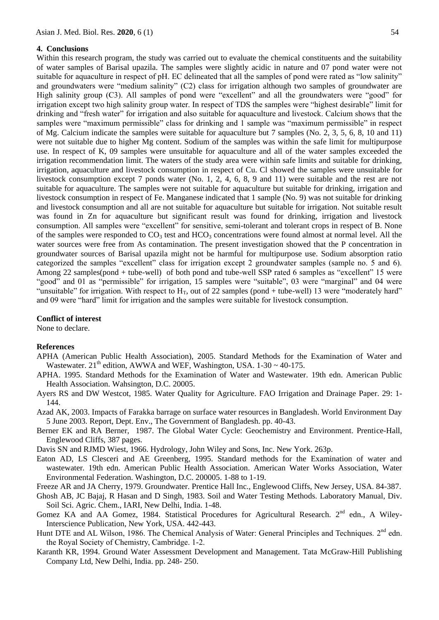#### **4. Conclusions**

Within this research program, the study was carried out to evaluate the chemical constituents and the suitability of water samples of Barisal upazila. The samples were slightly acidic in nature and 07 pond water were not suitable for aquaculture in respect of pH. EC delineated that all the samples of pond were rated as "low salinity" and groundwaters were "medium salinity" (C2) class for irrigation although two samples of groundwater are High salinity group (C3). All samples of pond were "excellent" and all the groundwaters were "good" for irrigation except two high salinity group water. In respect of TDS the samples were "highest desirable" limit for drinking and "fresh water" for irrigation and also suitable for aquaculture and livestock. Calcium shows that the samples were "maximum permissible" class for drinking and 1 sample was "maximum permissible" in respect of Mg. Calcium indicate the samples were suitable for aquaculture but 7 samples (No. 2, 3, 5, 6, 8, 10 and 11) were not suitable due to higher Mg content. Sodium of the samples was within the safe limit for multipurpose use. In respect of K, 09 samples were unsuitable for aquaculture and all of the water samples exceeded the irrigation recommendation limit. The waters of the study area were within safe limits and suitable for drinking, irrigation, aquaculture and livestock consumption in respect of Cu. Cl showed the samples were unsuitable for livestock consumption except 7 ponds water (No. 1, 2, 4, 6, 8, 9 and 11) were suitable and the rest are not suitable for aquaculture. The samples were not suitable for aquaculture but suitable for drinking, irrigation and livestock consumption in respect of Fe. Manganese indicated that 1 sample (No. 9) was not suitable for drinking and livestock consumption and all are not suitable for aquaculture but suitable for irrigation. Not suitable result was found in Zn for aquaculture but significant result was found for drinking, irrigation and livestock consumption. All samples were "excellent" for sensitive, semi-tolerant and tolerant crops in respect of B. None of the samples were responded to  $CO_3$  test and  $HCO_3$  concentrations were found almost at normal level. All the water sources were free from As contamination. The present investigation showed that the P concentration in groundwater sources of Barisal upazila might not be harmful for multipurpose use. Sodium absorption ratio categorized the samples "excellent" class for irrigation except 2 groundwater samples (sample no. 5 and 6). Among 22 samples(pond + tube-well) of both pond and tube-well SSP rated 6 samples as "excellent" 15 were "good" and 01 as "permissible" for irrigation, 15 samples were "suitable", 03 were "marginal" and 04 were "unsuitable" for irrigation. With respect to  $H_T$ , out of 22 samples (pond + tube-well) 13 were "moderately hard" and 09 were "hard" limit for irrigation and the samples were suitable for livestock consumption.

### **Conflict of interest**

None to declare.

#### **References**

- APHA (American Public Health Association), 2005. Standard Methods for the Examination of Water and Wastewater.  $21^{th}$  edition, AWWA and WEF, Washington, USA.  $1-30 \sim 40-175$ .
- APHA. 1995. Standard Methods for the Examination of Water and Wastewater*.* 19th edn. American Public Health Association. Wahsington, D.C. 20005.
- Ayers RS and DW Westcot, 1985. Water Quality for Agriculture. FAO Irrigation and Drainage Paper. 29: 1- 144.
- Azad AK, 2003. Impacts of Farakka barrage on surface water resources in Bangladesh. World Environment Day 5 June 2003*.* Report, Dept. Env., The Government of Bangladesh. pp. 40-43.
- Berner EK and RA Berner, 1987. The Global Water Cycle: Geochemistry and Environment. Prentice-Hall, Englewood Cliffs, 387 pages.
- Davis SN and RJMD Wiest, 1966. Hydrology, John Wiley and Sons, Inc. New York. 263p.
- Eaton AD, LS Clesceri and AE Greenberg, 1995. Standard methods for the Examination of water and wastewater*.* 19th edn. American Public Health Association. American Water Works Association, Water Environmental Federation. Washington, D.C. 200005. 1-88 to 1-19.

Freeze AR and JA Cherry, 1979. Groundwater. Prentice Hall Inc., Englewood Cliffs, New Jersey, USA. 84-387.

- Ghosh AB, JC Bajaj, R Hasan and D Singh, 1983. Soil and Water Testing Methods. Laboratory Manual, Div. Soil Sci. Agric. Chem., IARI, New Delhi, India. 1-48.
- Gomez KA and AA Gomez, 1984. Statistical Procedures for Agricultural Research.  $2^{nd}$  edn., A Wiley-Interscience Publication, New York, USA. 442-443.
- Hunt DTE and AL Wilson, 1986. The Chemical Analysis of Water: General Principles and Techniques. 2<sup>nd</sup> edn. the Royal Society of Chemistry, Cambridge. 1-2.
- Karanth KR, 1994. Ground Water Assessment Development and Management. Tata McGraw-Hill Publishing Company Ltd, New Delhi, India. pp. 248- 250.